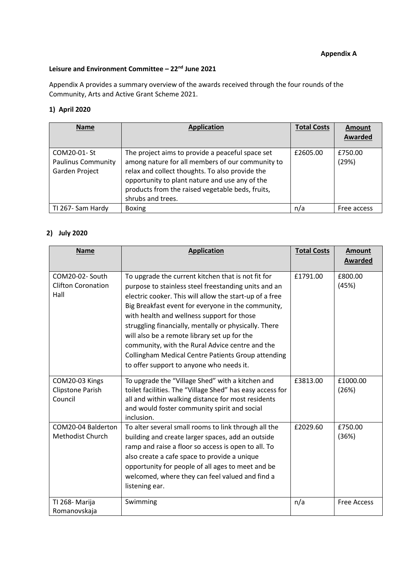#### **Appendix A**

# **Leisure and Environment Committee – 22nd June 2021**

Appendix A provides a summary overview of the awards received through the four rounds of the Community, Arts and Active Grant Scheme 2021.

#### **1) April 2020**

| <b>Name</b>               | <b>Application</b>                               | <b>Total Costs</b> | <b>Amount</b><br><b>Awarded</b> |
|---------------------------|--------------------------------------------------|--------------------|---------------------------------|
| COM20-01- St              |                                                  | £2605.00           | £750.00                         |
|                           | The project aims to provide a peaceful space set |                    |                                 |
| <b>Paulinus Community</b> | among nature for all members of our community to |                    | (29%)                           |
| Garden Project            | relax and collect thoughts. To also provide the  |                    |                                 |
|                           | opportunity to plant nature and use any of the   |                    |                                 |
|                           | products from the raised vegetable beds, fruits, |                    |                                 |
|                           | shrubs and trees.                                |                    |                                 |
| TI 267- Sam Hardy         | <b>Boxing</b>                                    | n/a                | Free access                     |

## **2) July 2020**

| <b>Name</b>                                          | <b>Application</b>                                                                                                                                                                                                                                                                                                                                                                                                                                                                                                                             | <b>Total Costs</b> | <b>Amount</b><br><b>Awarded</b> |
|------------------------------------------------------|------------------------------------------------------------------------------------------------------------------------------------------------------------------------------------------------------------------------------------------------------------------------------------------------------------------------------------------------------------------------------------------------------------------------------------------------------------------------------------------------------------------------------------------------|--------------------|---------------------------------|
| COM20-02- South<br><b>Clifton Coronation</b><br>Hall | To upgrade the current kitchen that is not fit for<br>purpose to stainless steel freestanding units and an<br>electric cooker. This will allow the start-up of a free<br>Big Breakfast event for everyone in the community,<br>with health and wellness support for those<br>struggling financially, mentally or physically. There<br>will also be a remote library set up for the<br>community, with the Rural Advice centre and the<br><b>Collingham Medical Centre Patients Group attending</b><br>to offer support to anyone who needs it. | £1791.00           | £800.00<br>(45%)                |
| COM20-03 Kings<br>Clipstone Parish<br>Council        | To upgrade the "Village Shed" with a kitchen and<br>toilet facilities. The "Village Shed" has easy access for<br>all and within walking distance for most residents<br>and would foster community spirit and social<br>inclusion.                                                                                                                                                                                                                                                                                                              | £3813.00           | £1000.00<br>(26%)               |
| COM20-04 Balderton<br>Methodist Church               | To alter several small rooms to link through all the<br>building and create larger spaces, add an outside<br>ramp and raise a floor so access is open to all. To<br>also create a cafe space to provide a unique<br>opportunity for people of all ages to meet and be<br>welcomed, where they can feel valued and find a<br>listening ear.                                                                                                                                                                                                     | £2029.60           | £750.00<br>(36%)                |
| TI 268- Marija<br>Romanovskaja                       | Swimming                                                                                                                                                                                                                                                                                                                                                                                                                                                                                                                                       | n/a                | <b>Free Access</b>              |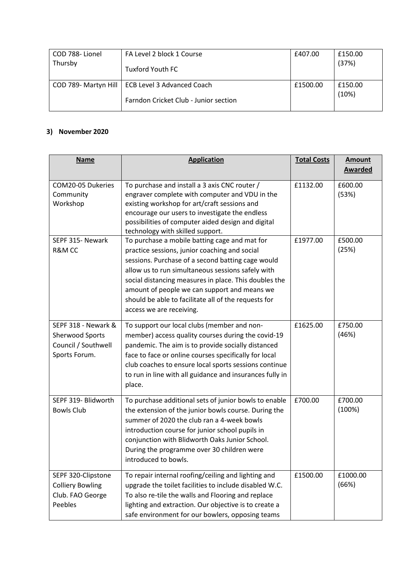| COD 788-Lionel | FA Level 2 block 1 Course                                                                  | £407.00  | £150.00          |
|----------------|--------------------------------------------------------------------------------------------|----------|------------------|
| Thursby        | Tuxford Youth FC                                                                           |          | (37%)            |
|                | COD 789- Martyn Hill   ECB Level 3 Advanced Coach<br>Farndon Cricket Club - Junior section | £1500.00 | £150.00<br>(10%) |

### **3) November 2020**

| <b>Name</b>                                                                           | <b>Application</b>                                                                                                                                                                                                                                                                                                                                                                                    | <b>Total Costs</b> | <b>Amount</b><br><b>Awarded</b> |
|---------------------------------------------------------------------------------------|-------------------------------------------------------------------------------------------------------------------------------------------------------------------------------------------------------------------------------------------------------------------------------------------------------------------------------------------------------------------------------------------------------|--------------------|---------------------------------|
| COM20-05 Dukeries<br>Community<br>Workshop                                            | To purchase and install a 3 axis CNC router /<br>engraver complete with computer and VDU in the<br>existing workshop for art/craft sessions and<br>encourage our users to investigate the endless<br>possibilities of computer aided design and digital<br>technology with skilled support.                                                                                                           | £1132.00           | £600.00<br>(53%)                |
| SEPF 315- Newark<br>R&M CC                                                            | To purchase a mobile batting cage and mat for<br>practice sessions, junior coaching and social<br>sessions. Purchase of a second batting cage would<br>allow us to run simultaneous sessions safely with<br>social distancing measures in place. This doubles the<br>amount of people we can support and means we<br>should be able to facilitate all of the requests for<br>access we are receiving. | £1977.00           | £500.00<br>(25%)                |
| SEPF 318 - Newark &<br><b>Sherwood Sports</b><br>Council / Southwell<br>Sports Forum. | To support our local clubs (member and non-<br>member) access quality courses during the covid-19<br>pandemic. The aim is to provide socially distanced<br>face to face or online courses specifically for local<br>club coaches to ensure local sports sessions continue<br>to run in line with all guidance and insurances fully in<br>place.                                                       | £1625.00           | £750.00<br>(46%)                |
| SEPF 319- Blidworth<br><b>Bowls Club</b>                                              | To purchase additional sets of junior bowls to enable<br>the extension of the junior bowls course. During the<br>summer of 2020 the club ran a 4-week bowls<br>introduction course for junior school pupils in<br>conjunction with Blidworth Oaks Junior School.<br>During the programme over 30 children were<br>introduced to bowls.                                                                | £700.00            | £700.00<br>(100%)               |
| SEPF 320-Clipstone<br><b>Colliery Bowling</b><br>Club. FAO George<br>Peebles          | To repair internal roofing/ceiling and lighting and<br>upgrade the toilet facilities to include disabled W.C.<br>To also re-tile the walls and Flooring and replace<br>lighting and extraction. Our objective is to create a<br>safe environment for our bowlers, opposing teams                                                                                                                      | £1500.00           | £1000.00<br>(66%)               |